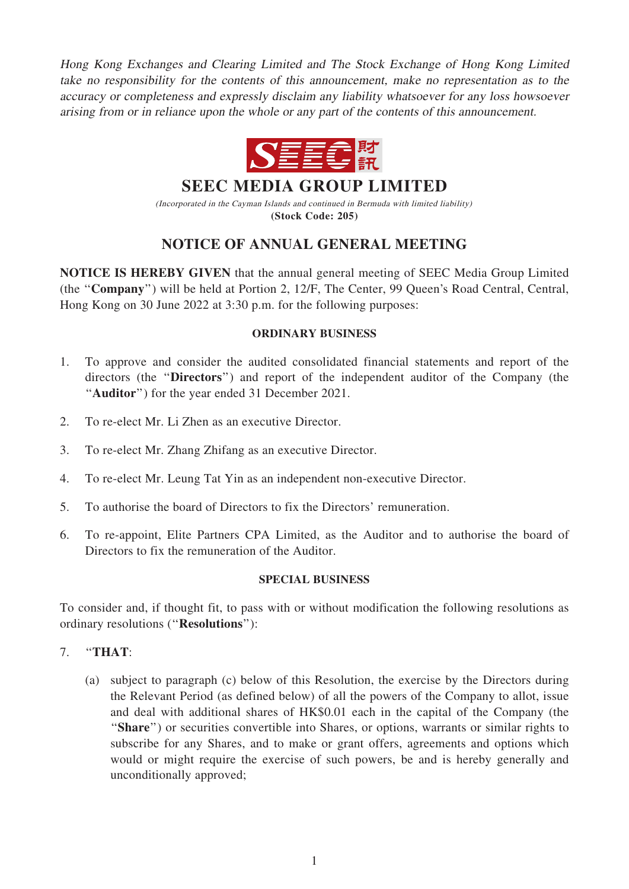Hong Kong Exchanges and Clearing Limited and The Stock Exchange of Hong Kong Limited take no responsibility for the contents of this announcement, make no representation as to the accuracy or completeness and expressly disclaim any liability whatsoever for any loss howsoever arising from or in reliance upon the whole or any part of the contents of this announcement.



**SEEC MEDIA GROUP LIMITED**

(Incorporated in the Cayman Islands and continued in Bermuda with limited liability) **(Stock Code: 205)**

# NOTICE OF ANNUAL GENERAL MEETING

NOTICE IS HEREBY GIVEN that the annual general meeting of SEEC Media Group Limited (the ''Company'') will be held at Portion 2, 12/F, The Center, 99 Queen's Road Central, Central, Hong Kong on 30 June 2022 at 3:30 p.m. for the following purposes:

### ORDINARY BUSINESS

- 1. To approve and consider the audited consolidated financial statements and report of the directors (the ''Directors'') and report of the independent auditor of the Company (the ''Auditor'') for the year ended 31 December 2021.
- 2. To re-elect Mr. Li Zhen as an executive Director.
- 3. To re-elect Mr. Zhang Zhifang as an executive Director.
- 4. To re-elect Mr. Leung Tat Yin as an independent non-executive Director.
- 5. To authorise the board of Directors to fix the Directors' remuneration.
- 6. To re-appoint, Elite Partners CPA Limited, as the Auditor and to authorise the board of Directors to fix the remuneration of the Auditor.

#### SPECIAL BUSINESS

To consider and, if thought fit, to pass with or without modification the following resolutions as ordinary resolutions (''Resolutions''):

## 7. ''THAT:

(a) subject to paragraph (c) below of this Resolution, the exercise by the Directors during the Relevant Period (as defined below) of all the powers of the Company to allot, issue and deal with additional shares of HK\$0.01 each in the capital of the Company (the "Share") or securities convertible into Shares, or options, warrants or similar rights to subscribe for any Shares, and to make or grant offers, agreements and options which would or might require the exercise of such powers, be and is hereby generally and unconditionally approved;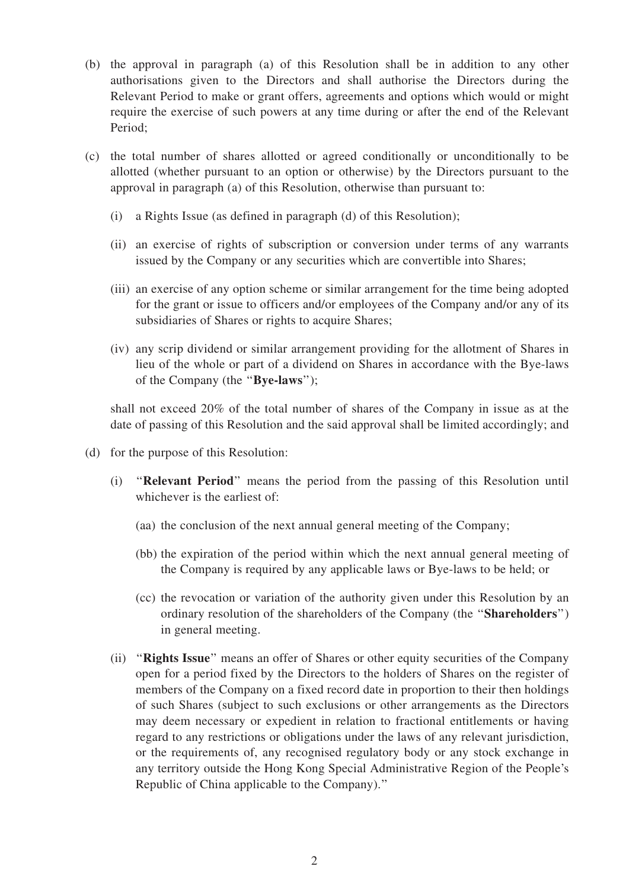- (b) the approval in paragraph (a) of this Resolution shall be in addition to any other authorisations given to the Directors and shall authorise the Directors during the Relevant Period to make or grant offers, agreements and options which would or might require the exercise of such powers at any time during or after the end of the Relevant Period;
- (c) the total number of shares allotted or agreed conditionally or unconditionally to be allotted (whether pursuant to an option or otherwise) by the Directors pursuant to the approval in paragraph (a) of this Resolution, otherwise than pursuant to:
	- (i) a Rights Issue (as defined in paragraph (d) of this Resolution);
	- (ii) an exercise of rights of subscription or conversion under terms of any warrants issued by the Company or any securities which are convertible into Shares;
	- (iii) an exercise of any option scheme or similar arrangement for the time being adopted for the grant or issue to officers and/or employees of the Company and/or any of its subsidiaries of Shares or rights to acquire Shares;
	- (iv) any scrip dividend or similar arrangement providing for the allotment of Shares in lieu of the whole or part of a dividend on Shares in accordance with the Bye-laws of the Company (the ''Bye-laws'');

shall not exceed 20% of the total number of shares of the Company in issue as at the date of passing of this Resolution and the said approval shall be limited accordingly; and

- (d) for the purpose of this Resolution:
	- (i) ''Relevant Period'' means the period from the passing of this Resolution until whichever is the earliest of:
		- (aa) the conclusion of the next annual general meeting of the Company;
		- (bb) the expiration of the period within which the next annual general meeting of the Company is required by any applicable laws or Bye-laws to be held; or
		- (cc) the revocation or variation of the authority given under this Resolution by an ordinary resolution of the shareholders of the Company (the ''Shareholders'') in general meeting.
	- (ii) ''Rights Issue'' means an offer of Shares or other equity securities of the Company open for a period fixed by the Directors to the holders of Shares on the register of members of the Company on a fixed record date in proportion to their then holdings of such Shares (subject to such exclusions or other arrangements as the Directors may deem necessary or expedient in relation to fractional entitlements or having regard to any restrictions or obligations under the laws of any relevant jurisdiction, or the requirements of, any recognised regulatory body or any stock exchange in any territory outside the Hong Kong Special Administrative Region of the People's Republic of China applicable to the Company).''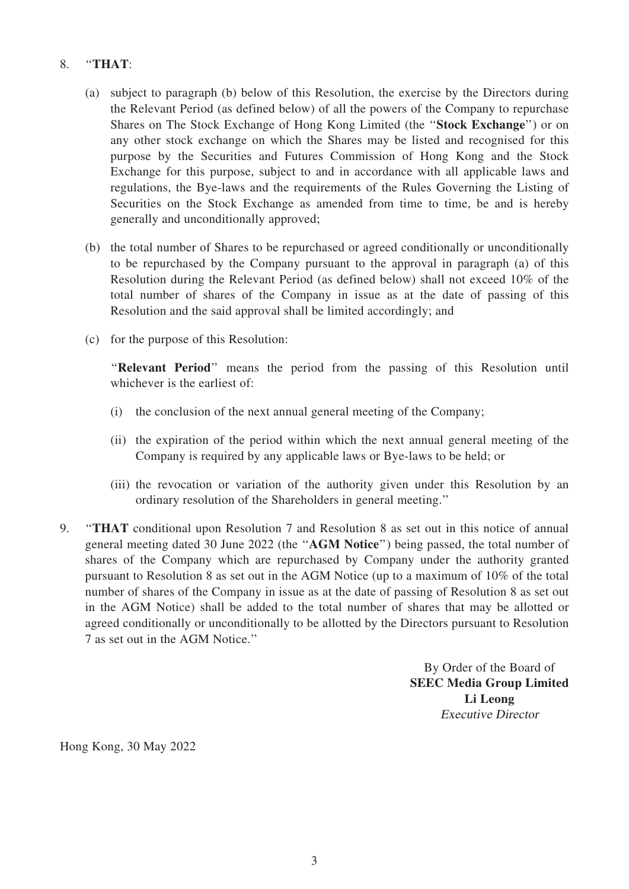## 8. ''THAT:

- (a) subject to paragraph (b) below of this Resolution, the exercise by the Directors during the Relevant Period (as defined below) of all the powers of the Company to repurchase Shares on The Stock Exchange of Hong Kong Limited (the ''Stock Exchange'') or on any other stock exchange on which the Shares may be listed and recognised for this purpose by the Securities and Futures Commission of Hong Kong and the Stock Exchange for this purpose, subject to and in accordance with all applicable laws and regulations, the Bye-laws and the requirements of the Rules Governing the Listing of Securities on the Stock Exchange as amended from time to time, be and is hereby generally and unconditionally approved;
- (b) the total number of Shares to be repurchased or agreed conditionally or unconditionally to be repurchased by the Company pursuant to the approval in paragraph (a) of this Resolution during the Relevant Period (as defined below) shall not exceed 10% of the total number of shares of the Company in issue as at the date of passing of this Resolution and the said approval shall be limited accordingly; and
- (c) for the purpose of this Resolution:

"Relevant Period" means the period from the passing of this Resolution until whichever is the earliest of:

- (i) the conclusion of the next annual general meeting of the Company;
- (ii) the expiration of the period within which the next annual general meeting of the Company is required by any applicable laws or Bye-laws to be held; or
- (iii) the revocation or variation of the authority given under this Resolution by an ordinary resolution of the Shareholders in general meeting.''
- 9. ''THAT conditional upon Resolution 7 and Resolution 8 as set out in this notice of annual general meeting dated 30 June 2022 (the ''AGM Notice'') being passed, the total number of shares of the Company which are repurchased by Company under the authority granted pursuant to Resolution 8 as set out in the AGM Notice (up to a maximum of 10% of the total number of shares of the Company in issue as at the date of passing of Resolution 8 as set out in the AGM Notice) shall be added to the total number of shares that may be allotted or agreed conditionally or unconditionally to be allotted by the Directors pursuant to Resolution 7 as set out in the AGM Notice.''

By Order of the Board of SEEC Media Group Limited Li Leong Executive Director

Hong Kong, 30 May 2022